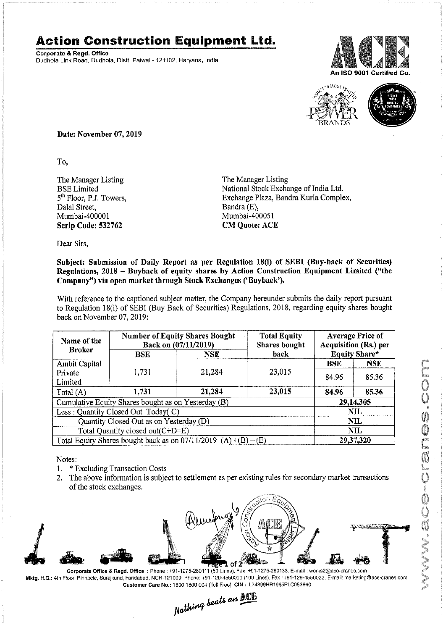## **Action Construction Equipment** Ltd.

Corporate & Regd. Office Dudhola Link Road, Dudhola, Distt. Palwal - 121102, Haryana, India





Date: November 07, 2019

To,

The Manager Listing BSE Limited 5<sup>th</sup> Floor, P.J. Towers, Dalal Street, Mumbai-400001 Scrip Code: 532762

The Manager Listing National Stock Exchange of India Ltd. Exchange Plaza, Bandra Kurla Complex, Bandra (E), Mumbai-400051 **CM Quote: ACE** 

Dear Sirs,

## Subject: Submission of Daily Report as per Regulation 18(i) of SEBI (Buy-back of Securities) Regulations, 2018 - Buyback of equity shares by Action Construction Equipment Limited ("the Company") via open market through Stock Exchanges ('Buyback').

With reference to the captioned subject matter, the Company hereunder submits the daily report pursuant to Regulation 18(i) of SEBI (Buy Back of Securities) Regulations, 2018, regarding equity shares bought back on November 07,2019:

| Name of the<br><b>Broker</b>                                      | <b>Number of Equity Shares Bought</b><br>Back on (07/11/2019) |            | <b>Total Equity</b><br><b>Shares</b> bought | <b>Average Price of</b><br><b>Acquisition (Rs.) per</b> |            |  |
|-------------------------------------------------------------------|---------------------------------------------------------------|------------|---------------------------------------------|---------------------------------------------------------|------------|--|
|                                                                   | <b>BSE</b>                                                    | <b>NSE</b> | back                                        | <b>Equity Share*</b>                                    |            |  |
| <b>Ambit Capital</b>                                              |                                                               |            |                                             | <b>RSE</b>                                              | <b>NSE</b> |  |
| Private                                                           | 1,731                                                         | 21,284     | 23,015                                      | 84.96                                                   | 85.36      |  |
| Limited                                                           |                                                               |            |                                             |                                                         |            |  |
| Total (A)                                                         | 1,731                                                         | 21,284     | 23,015                                      | 84.96                                                   | 85.36      |  |
| Cumulative Equity Shares bought as on Yesterday (B)               |                                                               |            |                                             |                                                         | 29,14,305  |  |
| Less: Quantity Closed Out Today(C)                                |                                                               |            |                                             | NIL                                                     |            |  |
| Quantity Closed Out as on Yesterday (D)                           |                                                               |            |                                             | NIL.                                                    |            |  |
| Total Quantity closed out(C+D=E)                                  |                                                               |            |                                             |                                                         | <b>NIL</b> |  |
| Total Equity Shares bought back as on $07/11/2019$ (A) +(B) – (E) |                                                               |            |                                             | 29,37,320                                               |            |  |

- Notes:  $\mathbb{C}$ 1. \* Excluding Transaction Costs
- 2. The above information is subject to settlement as per existing rules for secondary market transactions of the stock exchanges.



Mktg. H,Q.: 4th Floor, Pinnacle, Surajkund, Faridabad, NCR-121009, Phone: +91-129·4550000 (100 Lines), Fax: +91-129-4550022, E-mail: marketing@ace-cranes.com